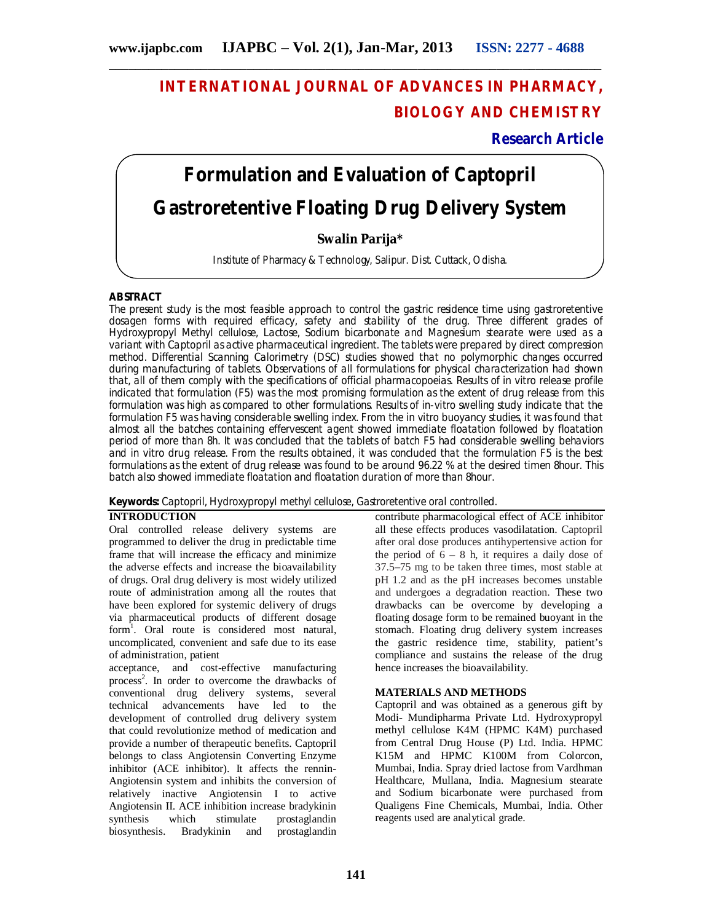# **INTERNATIONAL JOURNAL OF ADVANCES IN PHARMACY, BIOLOGY AND CHEMISTRY**

**Research Article**

# **Formulation and Evaluation of Captopril Gastroretentive Floating Drug Delivery System**

# **Swalin Parija\***

Institute of Pharmacy & Technology, Salipur. Dist. Cuttack, Odisha.

# **ABSTRACT**

The present study is the most feasible approach to control the gastric residence time using gastroretentive dosagen forms with required efficacy, safety and stability of the drug. Three different grades of Hydroxypropyl Methyl cellulose, Lactose, Sodium bicarbonate and Magnesium stearate were used as a variant with Captopril as active pharmaceutical ingredient. The tablets were prepared by direct compression method. Differential Scanning Calorimetry (DSC) studies showed that no polymorphic changes occurred during manufacturing of tablets. Observations of all formulations for physical characterization had shown that, all of them comply with the specifications of official pharmacopoeias. Results of *in vitro* release profile indicated that formulation (F5) was the most promising formulation as the extent of drug release from this formulation was high as compared to other formulations. Results of in-vitro swelling study indicate that the formulation F5 was having considerable swelling index. From the in vitro buoyancy studies, it was found that almost all the batches containing effervescent agent showed immediate floatation followed by floatation period of more than 8h. It was concluded that the tablets of batch F5 had considerable swelling behaviors and *in vitro* drug release. From the results obtained, it was concluded that the formulation F5 is the best formulations as the extent of drug release was found to be around 96.22 % at the desired timen 8hour. This batch also showed immediate floatation and floatation duration of more than 8hour.

**Keywords:** Captopril, Hydroxypropyl methyl cellulose, Gastroretentive oral controlled.

# **INTRODUCTION**

Oral controlled release delivery systems are programmed to deliver the drug in predictable time frame that will increase the efficacy and minimize the adverse effects and increase the bioavailability of drugs. Oral drug delivery is most widely utilized route of administration among all the routes that have been explored for systemic delivery of drugs via pharmaceutical products of different dosage form<sup>1</sup>. Oral route is considered most natural, uncomplicated, convenient and safe due to its ease of administration, patient

acceptance, and cost-effective manufacturing process<sup>2</sup>. In order to overcome the drawbacks of conventional drug delivery systems, several technical advancements have led to the development of controlled drug delivery system that could revolutionize method of medication and provide a number of therapeutic benefits. Captopril belongs to class Angiotensin Converting Enzyme inhibitor (ACE inhibitor). It affects the rennin-Angiotensin system and inhibits the conversion of relatively inactive Angiotensin I to active Angiotensin II. ACE inhibition increase bradykinin<br>synthesis which stimulate prostaglandin prostaglandin<br>prostaglandin biosynthesis. Bradykinin and

contribute pharmacological effect of ACE inhibitor all these effects produces vasodilatation. Captopril after oral dose produces antihypertensive action for the period of  $6 - 8$  h, it requires a daily dose of 37.5–75 mg to be taken three times, most stable at pH 1.2 and as the pH increases becomes unstable and undergoes a degradation reaction. These two drawbacks can be overcome by developing a floating dosage form to be remained buoyant in the stomach. Floating drug delivery system increases the gastric residence time, stability, patient's compliance and sustains the release of the drug hence increases the bioavailability.

# **MATERIALS AND METHODS**

Captopril and was obtained as a generous gift by Modi- Mundipharma Private Ltd. Hydroxypropyl methyl cellulose K4M (HPMC K4M) purchased from Central Drug House (P) Ltd. India. HPMC K15M and HPMC K100M from Colorcon, Mumbai, India. Spray dried lactose from Vardhman Healthcare, Mullana, India. Magnesium stearate and Sodium bicarbonate were purchased from Qualigens Fine Chemicals, Mumbai, India. Other reagents used are analytical grade.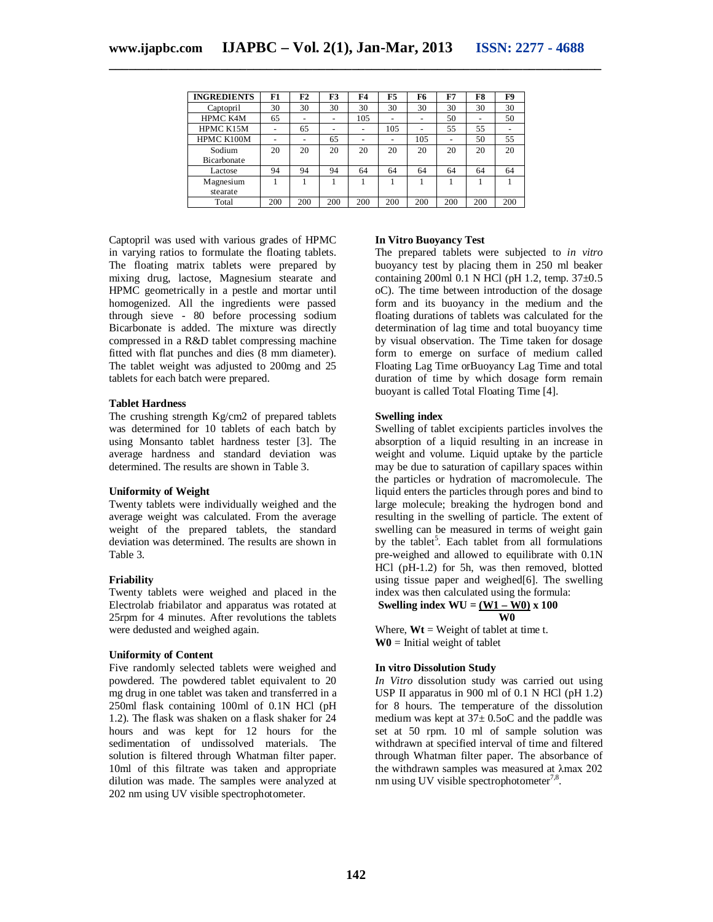| <b>INGREDIENTS</b>    | F1  | F2  | F <sub>3</sub> | F4  | F <sub>5</sub> | F6  | F7  | F8  | F9  |
|-----------------------|-----|-----|----------------|-----|----------------|-----|-----|-----|-----|
| Captopril             | 30  | 30  | 30             | 30  | 30             | 30  | 30  | 30  | 30  |
| HPMC K4M              | 65  |     | -              | 105 |                |     | 50  |     | 50  |
| HPMC K15M             |     | 65  | -              |     | 105            |     | 55  | 55  |     |
| HPMC K100M            |     |     | 65             |     |                | 105 |     | 50  | 55  |
| Sodium<br>Bicarbonate | 20  | 20  | 20             | 20  | 20             | 20  | 20  | 20  | 20  |
| Lactose               | 94  | 94  | 94             | 64  | 64             | 64  | 64  | 64  | 64  |
| Magnesium<br>stearate |     |     |                |     |                |     |     |     |     |
| Total                 | 200 | 200 | 200            | 200 | 200            | 200 | 200 | 200 | 200 |

Captopril was used with various grades of HPMC in varying ratios to formulate the floating tablets. The floating matrix tablets were prepared by mixing drug, lactose, Magnesium stearate and HPMC geometrically in a pestle and mortar until homogenized. All the ingredients were passed through sieve - 80 before processing sodium Bicarbonate is added. The mixture was directly compressed in a R&D tablet compressing machine fitted with flat punches and dies (8 mm diameter). The tablet weight was adjusted to 200mg and 25 tablets for each batch were prepared.

# **Tablet Hardness**

The crushing strength Kg/cm2 of prepared tablets was determined for 10 tablets of each batch by using Monsanto tablet hardness tester [3]. The average hardness and standard deviation was determined. The results are shown in Table 3.

#### **Uniformity of Weight**

Twenty tablets were individually weighed and the average weight was calculated. From the average weight of the prepared tablets, the standard deviation was determined. The results are shown in Table 3.

#### **Friability**

Twenty tablets were weighed and placed in the Electrolab friabilator and apparatus was rotated at 25rpm for 4 minutes. After revolutions the tablets were dedusted and weighed again.

#### **Uniformity of Content**

Five randomly selected tablets were weighed and powdered. The powdered tablet equivalent to 20 mg drug in one tablet was taken and transferred in a 250ml flask containing 100ml of 0.1N HCl (pH 1.2). The flask was shaken on a flask shaker for 24 hours and was kept for 12 hours for the sedimentation of undissolved materials. The solution is filtered through Whatman filter paper. 10ml of this filtrate was taken and appropriate dilution was made. The samples were analyzed at 202 nm using UV visible spectrophotometer.

# **In Vitro Buoyancy Test**

The prepared tablets were subjected to *in vitro*  buoyancy test by placing them in 250 ml beaker containing 200ml  $\overline{0.1}$  N HCl (pH 1.2, temp. 37 $\pm$ 0.5 oC). The time between introduction of the dosage form and its buoyancy in the medium and the floating durations of tablets was calculated for the determination of lag time and total buoyancy time by visual observation. The Time taken for dosage form to emerge on surface of medium called Floating Lag Time orBuoyancy Lag Time and total duration of time by which dosage form remain buoyant is called Total Floating Time [4].

### **Swelling index**

Swelling of tablet excipients particles involves the absorption of a liquid resulting in an increase in weight and volume. Liquid uptake by the particle may be due to saturation of capillary spaces within the particles or hydration of macromolecule. The liquid enters the particles through pores and bind to large molecule; breaking the hydrogen bond and resulting in the swelling of particle. The extent of swelling can be measured in terms of weight gain by the tablet<sup>5</sup>. Each tablet from all formulations pre-weighed and allowed to equilibrate with 0.1N HCl (pH-1.2) for 5h, was then removed, blotted using tissue paper and weighed[6]. The swelling index was then calculated using the formula: **Swelling index WU = (W1 – W0) x 100**

# *WO*

Where,  $Wt = Weight$  of tablet at time t.  $W0$  = Initial weight of tablet

#### **In vitro Dissolution Study**

*In Vitro* dissolution study was carried out using USP II apparatus in 900 ml of 0.1 N HCl (pH 1.2) for 8 hours. The temperature of the dissolution medium was kept at  $37 \pm 0.5$  cC and the paddle was set at 50 rpm. 10 ml of sample solution was withdrawn at specified interval of time and filtered through Whatman filter paper. The absorbance of the withdrawn samples was measured at λmax 202 nm using UV visible spectrophotometer<sup>7,8</sup>.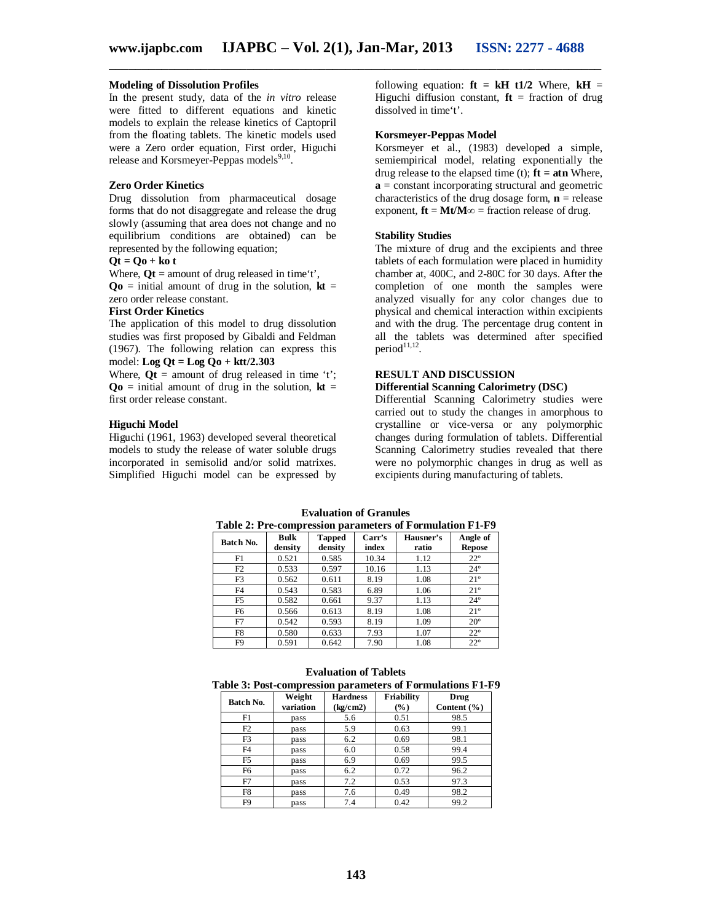### **Modeling of Dissolution Profiles**

In the present study, data of the *in vitro* release were fitted to different equations and kinetic models to explain the release kinetics of Captopril from the floating tablets. The kinetic models used were a Zero order equation, First order, Higuchi release and Korsmeyer-Peppas models<sup>9,10</sup>.

#### **Zero Order Kinetics**

Drug dissolution from pharmaceutical dosage forms that do not disaggregate and release the drug slowly (assuming that area does not change and no equilibrium conditions are obtained) can be represented by the following equation;

#### $\mathbf{Qt} = \mathbf{Qo} + \mathbf{ko} \mathbf{t}$

Where,  $\mathbf{Q}t =$  amount of drug released in time't',  $Qo$  = initial amount of drug in the solution,  $kt =$ zero order release constant.

#### **First Order Kinetics**

The application of this model to drug dissolution studies was first proposed by Gibaldi and Feldman (1967). The following relation can express this model: **Log Qt = Log Qo + ktt/2.303**

Where,  $\mathbf{Q}t =$  amount of drug released in time 't';  $\mathbf{Q_0}$  = initial amount of drug in the solution,  $\mathbf{kt} =$ first order release constant.

#### **Higuchi Model**

Higuchi (1961, 1963) developed several theoretical models to study the release of water soluble drugs incorporated in semisolid and/or solid matrixes. Simplified Higuchi model can be expressed by following equation:  $f{t} = kH t1/2$  Where,  $kH =$ Higuchi diffusion constant,  $\mathbf{ft}$  = fraction of drug dissolved in time't'.

#### **Korsmeyer-Peppas Model**

Korsmeyer et al., (1983) developed a simple, semiempirical model, relating exponentially the drug release to the elapsed time  $(t)$ ;  $\mathbf{ft} = \mathbf{atn}$  Where, **a** = constant incorporating structural and geometric characteristics of the drug dosage form,  $\mathbf{n}$  = release exponent,  $\mathbf{ft} = \mathbf{M}t/\mathbf{M}\infty$  = fraction release of drug.

#### **Stability Studies**

The mixture of drug and the excipients and three tablets of each formulation were placed in humidity chamber at, 400C, and 2-80C for 30 days. After the completion of one month the samples were analyzed visually for any color changes due to physical and chemical interaction within excipients and with the drug. The percentage drug content in all the tablets was determined after specified  $period<sup>11,12</sup>$ .

#### **RESULT AND DISCUSSION**

# **Differential Scanning Calorimetry (DSC)**

Differential Scanning Calorimetry studies were carried out to study the changes in amorphous to crystalline or vice-versa or any polymorphic changes during formulation of tablets. Differential Scanning Calorimetry studies revealed that there were no polymorphic changes in drug as well as excipients during manufacturing of tablets.

| Table 2: Pre-compression parameters of Formulation F1-F9 |                        |                          |                                       |      |                           |  |  |  |
|----------------------------------------------------------|------------------------|--------------------------|---------------------------------------|------|---------------------------|--|--|--|
| Batch No.                                                | <b>Bulk</b><br>density | <b>Tapped</b><br>density | Carr's<br>Hausner's<br>index<br>ratio |      | Angle of<br><b>Repose</b> |  |  |  |
| F1                                                       | 0.521                  | 0.585                    | 10.34                                 | 1.12 | $22^{\circ}$              |  |  |  |
| F2                                                       | 0.533                  | 0.597                    | 10.16                                 | 1.13 | $24^{\circ}$              |  |  |  |
| F3                                                       | 0.562                  | 0.611                    | 8.19                                  | 1.08 | $21^{\circ}$              |  |  |  |
| F4                                                       | 0.543                  | 0.583                    | 6.89                                  | 1.06 | $21^{\circ}$              |  |  |  |
| F5                                                       | 0.582                  | 0.661                    | 9.37                                  | 1.13 | $24^{\circ}$              |  |  |  |
| F6                                                       | 0.566                  | 0.613                    | 8.19                                  | 1.08 | $21^{\circ}$              |  |  |  |
| F7                                                       | 0.542                  | 0.593                    | 8.19                                  | 1.09 | $20^{\circ}$              |  |  |  |
| F8                                                       | 0.580                  | 0.633                    | 7.93                                  | 1.07 | $22^{\circ}$              |  |  |  |
| F9                                                       | 0.591                  | 0.642                    | 7.90                                  | 1.08 | $22^{\circ}$              |  |  |  |

#### **Evaluation of Granules Table 2: Pre-compression parameters of Formulation F1-F9**

| Table 3: Post-compression parameters of Formulations F1-F9 |                     |                             |                      |                         |  |  |  |
|------------------------------------------------------------|---------------------|-----------------------------|----------------------|-------------------------|--|--|--|
| Batch No.                                                  | Weight<br>variation | <b>Hardness</b><br>(kg/cm2) | Friability<br>$(\%)$ | Drug<br>Content $(\% )$ |  |  |  |
| F1                                                         | pass                | 5.6                         | 0.51                 | 98.5                    |  |  |  |
| F2                                                         | pass                | 5.9                         | 0.63                 | 99.1                    |  |  |  |
| F3                                                         | pass                | 6.2                         | 0.69                 | 98.1                    |  |  |  |
| F <sub>4</sub>                                             | pass                | 6.0                         | 0.58                 | 99.4                    |  |  |  |
| F5                                                         | pass                | 6.9                         | 0.69                 | 99.5                    |  |  |  |
| F <sub>6</sub>                                             | pass                | 6.2                         | 0.72                 | 96.2                    |  |  |  |
| F7                                                         | pass                | 7.2                         | 0.53                 | 97.3                    |  |  |  |
| F8                                                         | pass                | 7.6                         | 0.49                 | 98.2                    |  |  |  |

F9 pass 7.4 0.42 99.2

#### **Evaluation of Tablets**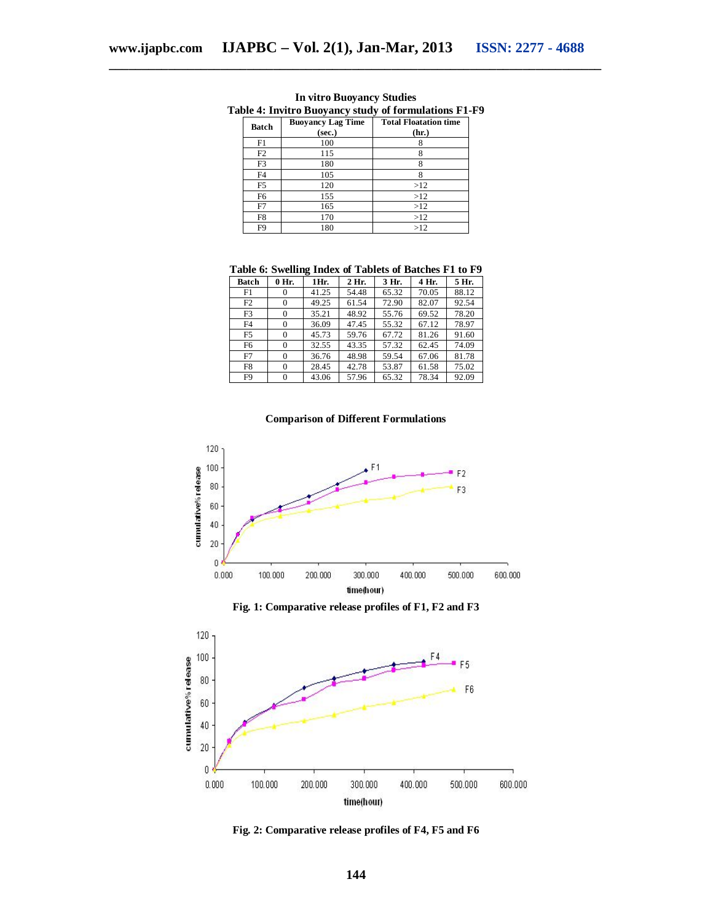| Batch          | <b>Buoyancy Lag Time</b><br>(sec.) | <b>Total Floatation time</b><br>(hr.) |  |  |  |  |
|----------------|------------------------------------|---------------------------------------|--|--|--|--|
| F1             | 100                                |                                       |  |  |  |  |
| F <sub>2</sub> | 115                                |                                       |  |  |  |  |
| F3             | 180                                |                                       |  |  |  |  |
| F4             | 105                                |                                       |  |  |  |  |
| F5             | 120                                | >12                                   |  |  |  |  |
| F6             | 155                                | >12                                   |  |  |  |  |
| F7             | 165                                | >12                                   |  |  |  |  |
| F8             | 170                                | >12                                   |  |  |  |  |
| F9             | 180                                | >12                                   |  |  |  |  |

**In vitro Buoyancy Studies Table 4: Invitro Buoyancy study of formulations F1-F9**

**Table 6: Swelling Index of Tablets of Batches F1 to F9**

| <b>Batch</b>   | 0 Hr.    | 1Hr.  | 2 Hr. | 3 Hr. | 4 Hr. | 5 Hr. |
|----------------|----------|-------|-------|-------|-------|-------|
| F1             | $\Omega$ | 41.25 | 54.48 | 65.32 | 70.05 | 88.12 |
| F <sub>2</sub> | $\Omega$ | 49.25 | 61.54 | 72.90 | 82.07 | 92.54 |
| F3             | $\Omega$ | 35.21 | 48.92 | 55.76 | 69.52 | 78.20 |
| F4             | $\theta$ | 36.09 | 47.45 | 55.32 | 67.12 | 78.97 |
| F5             | $\Omega$ | 45.73 | 59.76 | 67.72 | 81.26 | 91.60 |
| F6             | $\Omega$ | 32.55 | 43.35 | 57.32 | 62.45 | 74.09 |
| F7             | $\Omega$ | 36.76 | 48.98 | 59.54 | 67.06 | 81.78 |
| F8             | $\Omega$ | 28.45 | 42.78 | 53.87 | 61.58 | 75.02 |
| F9             | $\Omega$ | 43.06 | 57.96 | 65.32 | 78.34 | 92.09 |

#### **Comparison of Different Formulations**



**Fig. 1: Comparative release profiles of F1, F2 and F3**



**Fig. 2: Comparative release profiles of F4, F5 and F6**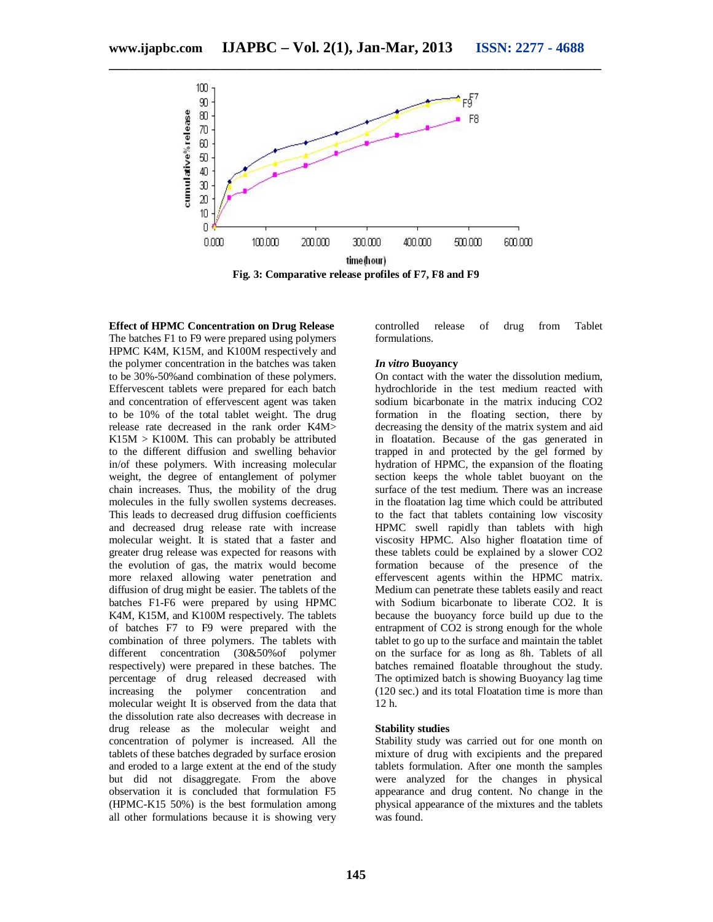

**Effect of HPMC Concentration on Drug Release** The batches F1 to F9 were prepared using polymers HPMC K4M, K15M, and K100M respectively and the polymer concentration in the batches was taken to be 30%-50%and combination of these polymers. Effervescent tablets were prepared for each batch and concentration of effervescent agent was taken to be 10% of the total tablet weight. The drug release rate decreased in the rank order K4M>  $K15M > K100M$ . This can probably be attributed to the different diffusion and swelling behavior in/of these polymers. With increasing molecular weight, the degree of entanglement of polymer chain increases. Thus, the mobility of the drug molecules in the fully swollen systems decreases. This leads to decreased drug diffusion coefficients and decreased drug release rate with increase molecular weight. It is stated that a faster and greater drug release was expected for reasons with the evolution of gas, the matrix would become more relaxed allowing water penetration and diffusion of drug might be easier. The tablets of the batches F1-F6 were prepared by using HPMC K4M, K15M, and K100M respectively. The tablets of batches F7 to F9 were prepared with the combination of three polymers. The tablets with different concentration (30&50%of polymer respectively) were prepared in these batches. The percentage of drug released decreased with increasing the polymer concentration and molecular weight It is observed from the data that the dissolution rate also decreases with decrease in drug release as the molecular weight and concentration of polymer is increased. All the tablets of these batches degraded by surface erosion and eroded to a large extent at the end of the study but did not disaggregate. From the above observation it is concluded that formulation F5 (HPMC-K15 50%) is the best formulation among all other formulations because it is showing very

controlled release of drug from Tablet formulations.

#### *In vitro* **Buoyancy**

On contact with the water the dissolution medium, hydrochloride in the test medium reacted with sodium bicarbonate in the matrix inducing CO2 formation in the floating section, there by decreasing the density of the matrix system and aid in floatation. Because of the gas generated in trapped in and protected by the gel formed by hydration of HPMC, the expansion of the floating section keeps the whole tablet buoyant on the surface of the test medium. There was an increase in the floatation lag time which could be attributed to the fact that tablets containing low viscosity HPMC swell rapidly than tablets with high viscosity HPMC. Also higher floatation time of these tablets could be explained by a slower CO2 formation because of the presence of the effervescent agents within the HPMC matrix. Medium can penetrate these tablets easily and react with Sodium bicarbonate to liberate CO2. It is because the buoyancy force build up due to the entrapment of CO2 is strong enough for the whole tablet to go up to the surface and maintain the tablet on the surface for as long as 8h. Tablets of all batches remained floatable throughout the study. The optimized batch is showing Buoyancy lag time (120 sec.) and its total Floatation time is more than 12 h.

#### **Stability studies**

Stability study was carried out for one month on mixture of drug with excipients and the prepared tablets formulation. After one month the samples were analyzed for the changes in physical appearance and drug content. No change in the physical appearance of the mixtures and the tablets was found.